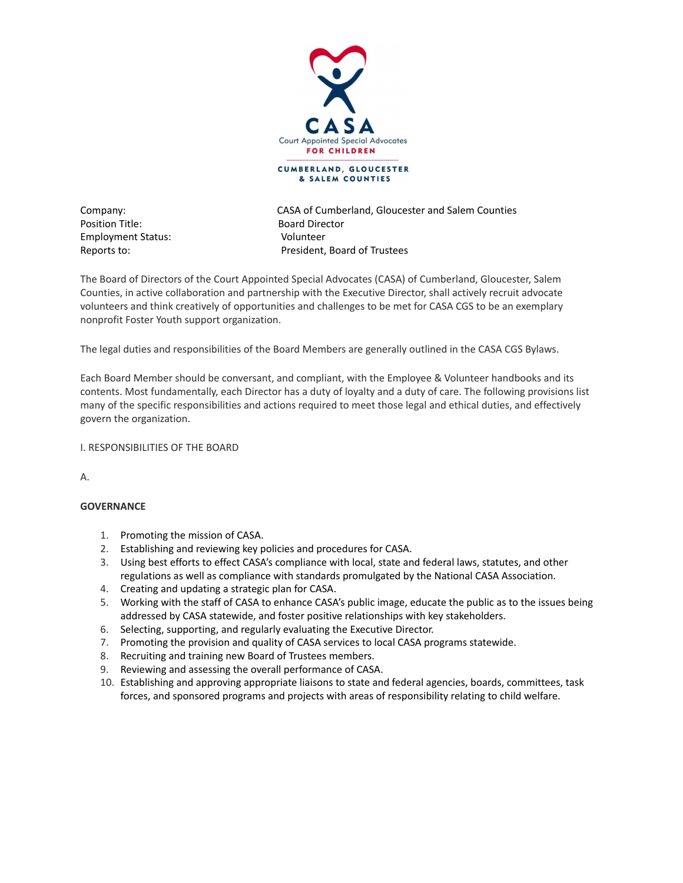

Position Title: Board Director Employment Status: Volunteer

Company: CASA of Cumberland, Gloucester and Salem Counties Reports to: President, Board of Trustees

The Board of Directors of the Court Appointed Special Advocates (CASA) of Cumberland, Gloucester, Salem Counties, in active collaboration and partnership with the Executive Director, shall actively recruit advocate volunteers and think creatively of opportunities and challenges to be met for CASA CGS to be an exemplary nonprofit Foster Youth support organization.

The legal duties and responsibilities of the Board Members are generally outlined in the CASA CGS Bylaws.

Each Board Member should be conversant, and compliant, with the Employee & Volunteer handbooks and its contents. Most fundamentally, each Director has a duty of loyalty and a duty of care. The following provisions list many of the specific responsibilities and actions required to meet those legal and ethical duties, and effectively govern the organization.

I. RESPONSIBILITIES OF THE BOARD

A.

## **GOVERNANCE**

- 1. Promoting the mission of CASA.
- 2. Establishing and reviewing key policies and procedures for CASA.
- 3. Using best efforts to effect CASA's compliance with local, state and federal laws, statutes, and other regulations as well as compliance with standards promulgated by the National CASA Association.
- 4. Creating and updating a strategic plan for CASA.
- 5. Working with the staff of CASA to enhance CASA's public image, educate the public as to the issues being addressed by CASA statewide, and foster positive relationships with key stakeholders.
- 6. Selecting, supporting, and regularly evaluating the Executive Director.
- 7. Promoting the provision and quality of CASA services to local CASA programs statewide.
- 8. Recruiting and training new Board of Trustees members.
- 9. Reviewing and assessing the overall performance of CASA.
- 10. Establishing and approving appropriate liaisons to state and federal agencies, boards, committees, task forces, and sponsored programs and projects with areas of responsibility relating to child welfare.